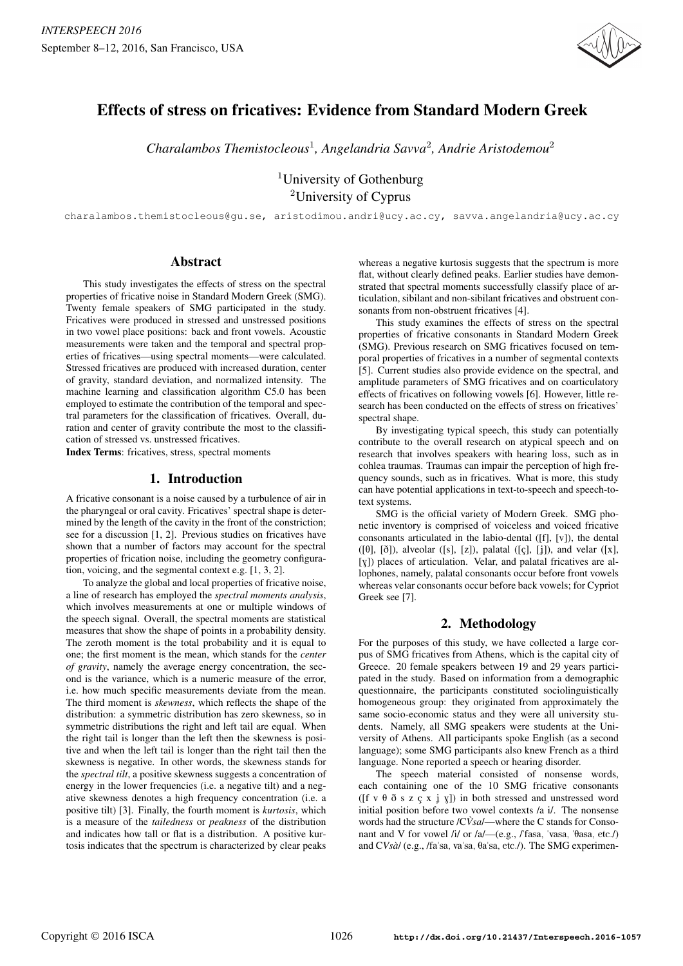

# Effects of stress on fricatives: Evidence from Standard Modern Greek

*Charalambos Themistocleous*<sup>1</sup> *, Angelandria Savva*<sup>2</sup> *, Andrie Aristodemou* 2

<sup>1</sup>University of Gothenburg <sup>2</sup>University of Cyprus

charalambos.themistocleous@gu.se, aristodimou.andri@ucy.ac.cy, savva.angelandria@ucy.ac.cy

# Abstract

This study investigates the effects of stress on the spectral properties of fricative noise in Standard Modern Greek (SMG). Twenty female speakers of SMG participated in the study. Fricatives were produced in stressed and unstressed positions in two vowel place positions: back and front vowels. Acoustic measurements were taken and the temporal and spectral properties of fricatives—using spectral moments—were calculated. Stressed fricatives are produced with increased duration, center of gravity, standard deviation, and normalized intensity. The machine learning and classification algorithm C5.0 has been employed to estimate the contribution of the temporal and spectral parameters for the classification of fricatives. Overall, duration and center of gravity contribute the most to the classification of stressed vs. unstressed fricatives.

Index Terms: fricatives, stress, spectral moments

## 1. Introduction

A fricative consonant is a noise caused by a turbulence of air in the pharyngeal or oral cavity. Fricatives' spectral shape is determined by the length of the cavity in the front of the constriction; see for a discussion [1, 2]. Previous studies on fricatives have shown that a number of factors may account for the spectral properties of frication noise, including the geometry configuration, voicing, and the segmental context e.g. [1, 3, 2].

To analyze the global and local properties of fricative noise, a line of research has employed the *spectral moments analysis*, which involves measurements at one or multiple windows of the speech signal. Overall, the spectral moments are statistical measures that show the shape of points in a probability density. The zeroth moment is the total probability and it is equal to one; the first moment is the mean, which stands for the *center of gravity*, namely the average energy concentration, the second is the variance, which is a numeric measure of the error, i.e. how much specific measurements deviate from the mean. The third moment is *skewness*, which reflects the shape of the distribution: a symmetric distribution has zero skewness, so in symmetric distributions the right and left tail are equal. When the right tail is longer than the left then the skewness is positive and when the left tail is longer than the right tail then the skewness is negative. In other words, the skewness stands for the *spectral tilt*, a positive skewness suggests a concentration of energy in the lower frequencies (i.e. a negative tilt) and a negative skewness denotes a high frequency concentration (i.e. a positive tilt) [3]. Finally, the fourth moment is *kurtosis*, which is a measure of the *tailedness* or *peakness* of the distribution and indicates how tall or flat is a distribution. A positive kurtosis indicates that the spectrum is characterized by clear peaks

whereas a negative kurtosis suggests that the spectrum is more flat, without clearly defined peaks. Earlier studies have demonstrated that spectral moments successfully classify place of articulation, sibilant and non-sibilant fricatives and obstruent consonants from non-obstruent fricatives [4].

This study examines the effects of stress on the spectral properties of fricative consonants in Standard Modern Greek (SMG). Previous research on SMG fricatives focused on temporal properties of fricatives in a number of segmental contexts [5]. Current studies also provide evidence on the spectral, and amplitude parameters of SMG fricatives and on coarticulatory effects of fricatives on following vowels [6]. However, little research has been conducted on the effects of stress on fricatives' spectral shape.

By investigating typical speech, this study can potentially contribute to the overall research on atypical speech and on research that involves speakers with hearing loss, such as in cohlea traumas. Traumas can impair the perception of high frequency sounds, such as in fricatives. What is more, this study can have potential applications in text-to-speech and speech-totext systems.

SMG is the official variety of Modern Greek. SMG phonetic inventory is comprised of voiceless and voiced fricative consonants articulated in the labio-dental ([f], [v]), the dental ([ $\theta$ ], [ $\delta$ ]), alveolar ([s], [z]), palatal ([ç], [j]), and velar ([x], [G]) places of articulation. Velar, and palatal fricatives are allophones, namely, palatal consonants occur before front vowels whereas velar consonants occur before back vowels; for Cypriot Greek see [7].

# 2. Methodology

For the purposes of this study, we have collected a large corpus of SMG fricatives from Athens, which is the capital city of Greece. 20 female speakers between 19 and 29 years participated in the study. Based on information from a demographic questionnaire, the participants constituted sociolinguistically homogeneous group: they originated from approximately the same socio-economic status and they were all university students. Namely, all SMG speakers were students at the University of Athens. All participants spoke English (as a second language); some SMG participants also knew French as a third language. None reported a speech or hearing disorder.

The speech material consisted of nonsense words, each containing one of the 10 SMG fricative consonants ([f v  $\theta$   $\delta$  s z c x i y]) in both stressed and unstressed word initial position before two vowel contexts /a i/. The nonsense words had the structure /CVsa/—where the C stands for Consonant and V for vowel /i/ or /a/ $-$ (e.g., /'fasa, 'vasa, ' $\theta$ asa, etc./) and CVsà/ (e.g., /faˈsa, vaˈsa, θaˈsa, etc./). The SMG experimen-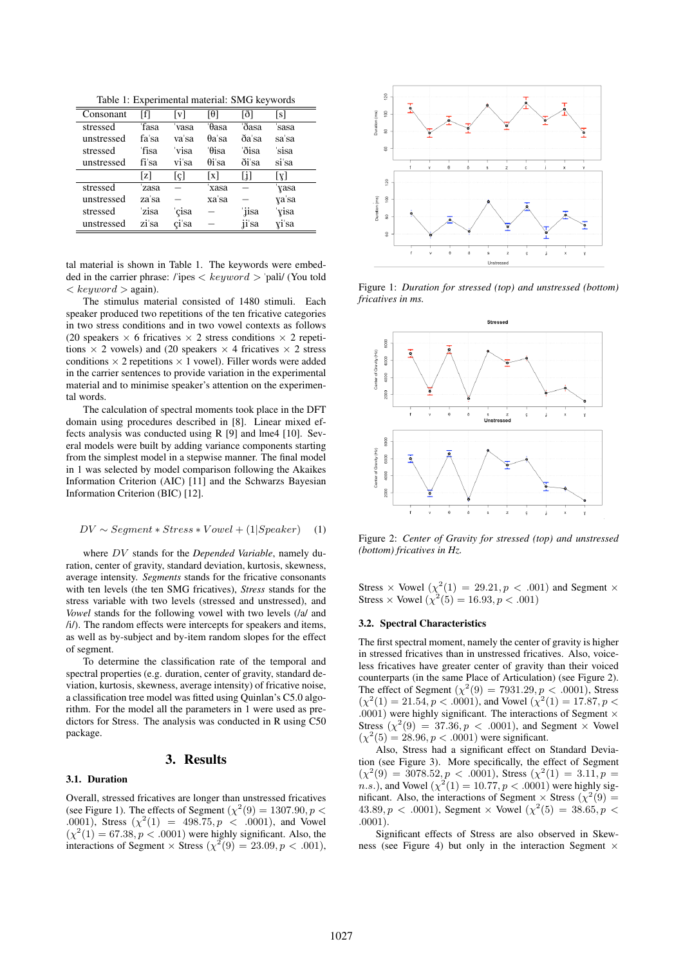Table 1: Experimental material: SMG keywords

| Consonant  | ſfΙ   | lvl   | 101           | ſð1   | [s]   |
|------------|-------|-------|---------------|-------|-------|
| stressed   | 'fasa | vasa  | θasa          | 'ðasa | sasa  |
| unstressed | fa'sa | va'sa | $\theta$ a'sa | ða'sa | sa'sa |
| stressed   | 'fisa | 'visa | 'θisa         | 'ðisa | 'sisa |
| unstressed | fi'sa | vi'sa | $\theta$ i'sa | ði'sa | si'sa |
|            | z     | lel   | X             | Ħ     | [X]   |
| stressed   | zasa  |       | xasa          |       | yasa  |
| unstressed | za'sa |       | xa'sa         |       | ya'sa |
| stressed   | zisa  | cisa  |               | iisa  | yisa  |
| unstressed | zi'sa | çi'sa |               | ii'sa | yi'sa |

tal material is shown in Table 1. The keywords were embedded in the carrier phrase: /"ipes *< keyword >* "pali/ (You told *< keyword >* again).

The stimulus material consisted of 1480 stimuli. Each speaker produced two repetitions of the ten fricative categories in two stress conditions and in two vowel contexts as follows (20 speakers  $\times$  6 fricatives  $\times$  2 stress conditions  $\times$  2 repetitions  $\times$  2 vowels) and (20 speakers  $\times$  4 fricatives  $\times$  2 stress conditions  $\times$  2 repetitions  $\times$  1 vowel). Filler words were added in the carrier sentences to provide variation in the experimental material and to minimise speaker's attention on the experimental words.

The calculation of spectral moments took place in the DFT domain using procedures described in [8]. Linear mixed effects analysis was conducted using R [9] and lme4 [10]. Several models were built by adding variance components starting from the simplest model in a stepwise manner. The final model in 1 was selected by model comparison following the Akaikes Information Criterion (AIC) [11] and the Schwarzs Bayesian Information Criterion (BIC) [12].

$$
DV \sim Segment * Stress * Vowel + (1| Speaker) \quad (1)
$$

where *DV* stands for the *Depended Variable*, namely duration, center of gravity, standard deviation, kurtosis, skewness, average intensity. *Segments* stands for the fricative consonants with ten levels (the ten SMG fricatives), *Stress* stands for the stress variable with two levels (stressed and unstressed), and *Vowel* stands for the following vowel with two levels (/a/ and /i/). The random effects were intercepts for speakers and items, as well as by-subject and by-item random slopes for the effect of segment.

To determine the classification rate of the temporal and spectral properties (e.g. duration, center of gravity, standard deviation, kurtosis, skewness, average intensity) of fricative noise, a classification tree model was fitted using Quinlan's C5.0 algorithm. For the model all the parameters in 1 were used as predictors for Stress. The analysis was conducted in R using C50 package.

### 3. Results

#### 3.1. Duration

Overall, stressed fricatives are longer than unstressed fricatives (see Figure 1). The effects of Segment  $(\chi^2(9) = 1307.90, p <$ *.*0001), Stress  $(\chi^2(1) = 498.75, p < .0001)$ , and Vowel  $(\chi^2(1) = 67.38, p < .0001)$  were highly significant. Also, the interactions of Segment  $\times$  Stress ( $\chi^2(9) = 23.09, p < .001$ ),



Figure 1: *Duration for stressed (top) and unstressed (bottom) fricatives in ms.*



Figure 2: *Center of Gravity for stressed (top) and unstressed (bottom) fricatives in Hz.*

Stress  $\times$  Vowel  $(\chi^2(1) = 29.21, p < .001)$  and Segment  $\times$ Stress  $\times$  Vowel  $(\chi^2(5) = 16.93, p < .001)$ 

#### 3.2. Spectral Characteristics

The first spectral moment, namely the center of gravity is higher in stressed fricatives than in unstressed fricatives. Also, voiceless fricatives have greater center of gravity than their voiced counterparts (in the same Place of Articulation) (see Figure 2). The effect of Segment  $(\chi^2(9) = 7931.29, p < .0001)$ , Stress  $(\chi^2(1) = 21.54, p < .0001)$ , and Vowel  $(\chi^2(1) = 17.87, p <$ *.*0001) were highly significant. The interactions of Segment *×* Stress  $(\chi^2(9) = 37.36, p < .0001)$ , and Segment *×* Vowel  $(\chi^2(5) = 28.96, p < .0001)$  were significant.

Also, Stress had a significant effect on Standard Deviation (see Figure 3). More specifically, the effect of Segment  $(\chi^2(9) = 3078.52, p < .0001)$ , Stress  $(\chi^2(1) = 3.11, p =$ *n.s.*), and Vowel  $(\chi^2(1) = 10.77, p < .0001)$  were highly significant. Also, the interactions of Segment  $\times$  Stress ( $\chi^2(9)$  =  $43.89, p < .0001$ , Segment  $\times$  Vowel  $(\chi^2(5) = 38.65, p < .0001)$ *.*0001).

Significant effects of Stress are also observed in Skewness (see Figure 4) but only in the interaction Segment *×*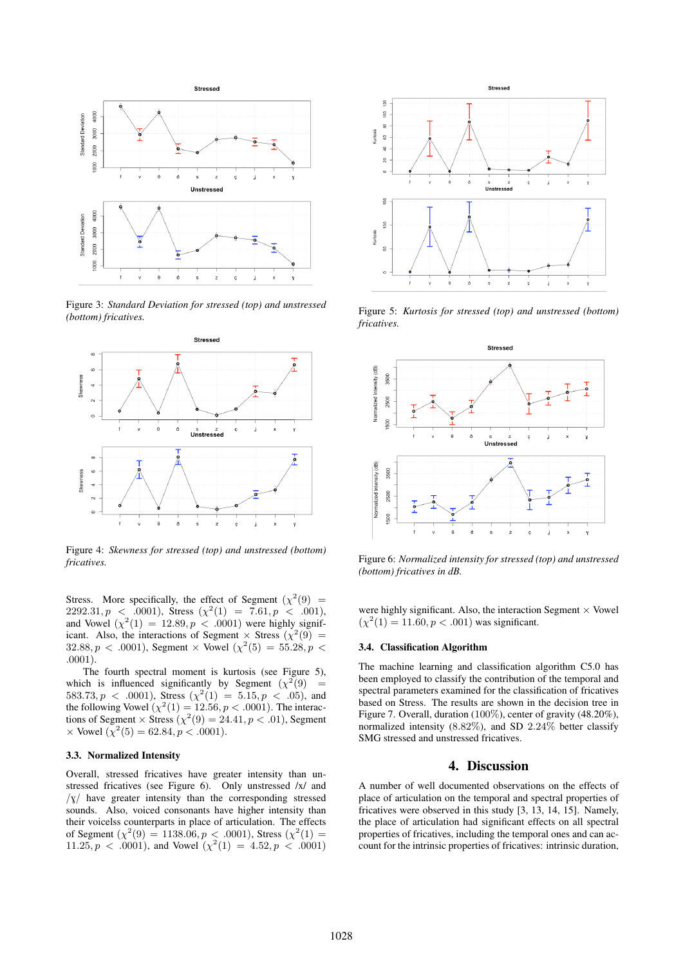

Figure 3: *Standard Deviation for stressed (top) and unstressed (bottom) fricatives.*



Figure 4: *Skewness for stressed (top) and unstressed (bottom) fricatives.*

Stress. More specifically, the effect of Segment  $(\chi^2(9)$  =  $2292.31, p \leq .0001$ ), Stress  $(\chi^2(1) = 7.61, p \leq .001)$ , and Vowel  $(\chi^2(1) = 12.89, p < .0001)$  were highly significant. Also, the interactions of Segment  $\times$  Stress ( $\chi^2(9)$  =  $32.88, p < .0001$ , Segment  $\times$  Vowel  $(\chi^2(5) = 55.28, p < .0001)$ *.*0001).

The fourth spectral moment is kurtosis (see Figure 5), which is influenced significantly by Segment  $(\chi^2(9)$  = 583.73,  $p \lt 0.0001$ ), Stress  $(\chi^2(1) = 5.15, p \lt 0.05)$ , and the following Vowel  $(\chi^2(1) = 12.56, p < .0001)$ . The interactions of Segment  $\times$  Stress  $(\chi^2(9) = 24.41, p < .01)$ , Segment *×* Vowel  $(\chi^2(5) = 62.84, p < .0001)$ .

#### 3.3. Normalized Intensity

Overall, stressed fricatives have greater intensity than unstressed fricatives (see Figure 6). Only unstressed /x/ and  $\sqrt{x}$  have greater intensity than the corresponding stressed sounds. Also, voiced consonants have higher intensity than their voicelss counterparts in place of articulation. The effects of Segment  $(\chi^2(9) = 1138.06, p < .0001)$ , Stress  $(\chi^2(1) =$  $11.25, p \lt 0.0001$ , and Vowel  $(\chi^2(1) = 4.52, p \lt 0.0001)$ 



Figure 5: *Kurtosis for stressed (top) and unstressed (bottom) fricatives.*



Figure 6: *Normalized intensity for stressed (top) and unstressed (bottom) fricatives in dB.*

were highly significant. Also, the interaction Segment *×* Vowel  $(\chi^2(1) = 11.60, p < .001)$  was significant.

# 3.4. Classification Algorithm

The machine learning and classification algorithm C5.0 has been employed to classify the contribution of the temporal and spectral parameters examined for the classification of fricatives based on Stress. The results are shown in the decision tree in Figure 7. Overall, duration (100%), center of gravity (48.20%), normalized intensity (8*.*82%), and SD 2*.*24% better classify SMG stressed and unstressed fricatives.

# 4. Discussion

A number of well documented observations on the effects of place of articulation on the temporal and spectral properties of fricatives were observed in this study [3, 13, 14, 15]. Namely, the place of articulation had significant effects on all spectral properties of fricatives, including the temporal ones and can account for the intrinsic properties of fricatives: intrinsic duration,